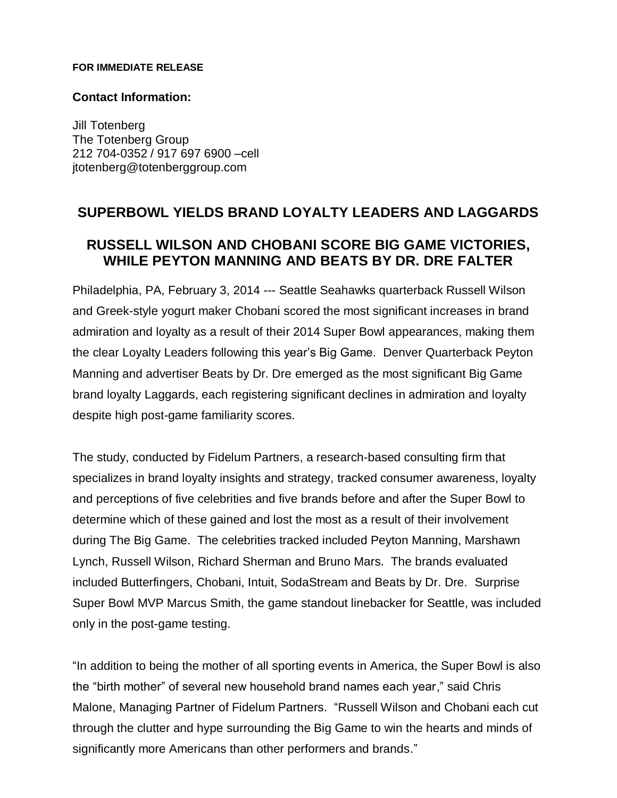#### **FOR IMMEDIATE RELEASE**

## **Contact Information:**

Jill Totenberg The Totenberg Group 212 704-0352 / 917 697 6900 –cell jtotenberg@totenberggroup.com

# **SUPERBOWL YIELDS BRAND LOYALTY LEADERS AND LAGGARDS RUSSELL WILSON AND CHOBANI SCORE BIG GAME VICTORIES, WHILE PEYTON MANNING AND BEATS BY DR. DRE FALTER**

Philadelphia, PA, February 3, 2014 --- Seattle Seahawks quarterback Russell Wilson and Greek-style yogurt maker Chobani scored the most significant increases in brand admiration and loyalty as a result of their 2014 Super Bowl appearances, making them the clear Loyalty Leaders following this year's Big Game. Denver Quarterback Peyton Manning and advertiser Beats by Dr. Dre emerged as the most significant Big Game brand loyalty Laggards, each registering significant declines in admiration and loyalty despite high post-game familiarity scores.

The study, conducted by Fidelum Partners, a research-based consulting firm that specializes in brand loyalty insights and strategy, tracked consumer awareness, loyalty and perceptions of five celebrities and five brands before and after the Super Bowl to determine which of these gained and lost the most as a result of their involvement during The Big Game. The celebrities tracked included Peyton Manning, Marshawn Lynch, Russell Wilson, Richard Sherman and Bruno Mars. The brands evaluated included Butterfingers, Chobani, Intuit, SodaStream and Beats by Dr. Dre. Surprise Super Bowl MVP Marcus Smith, the game standout linebacker for Seattle, was included only in the post-game testing.

"In addition to being the mother of all sporting events in America, the Super Bowl is also the "birth mother" of several new household brand names each year," said Chris Malone, Managing Partner of Fidelum Partners. "Russell Wilson and Chobani each cut through the clutter and hype surrounding the Big Game to win the hearts and minds of significantly more Americans than other performers and brands."